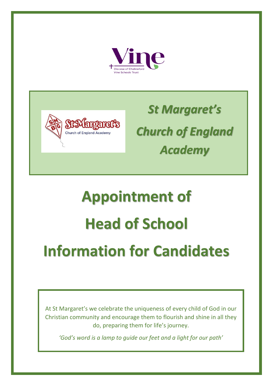



*St Margaret's Church of England Academy*

# **Appointment of Head of School Information for Candidates**

At St Margaret's we celebrate the uniqueness of every child of God in our Christian community and encourage them to flourish and shine in all they do, preparing them for life's journey.

*'God's word is a lamp to guide our feet and a light for our path'*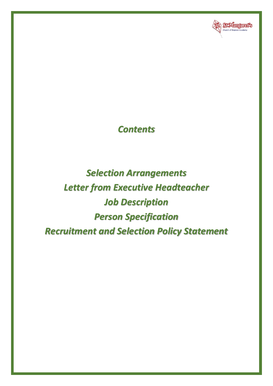

### *Contents*

## *Selection Arrangements Letter from Executive Headteacher Job Description Person Specification Recruitment and Selection Policy Statement*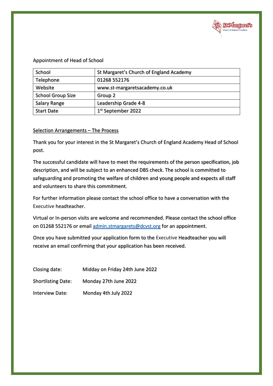

#### Appointment of Head of School

| School                   | St Margaret's Church of England Academy |
|--------------------------|-----------------------------------------|
| Telephone                | 01268 552176                            |
| Website                  | www.st-margaretsacademy.co.uk           |
| <b>School Group Size</b> | Group 2                                 |
| Salary Range             | Leadership Grade 4-8                    |
| <b>Start Date</b>        | 1 <sup>st</sup> September 2022          |

#### Selection Arrangements - The Process

Thank you for your interest in the St Margaret's Church of England Academy Head of School post.

The successful candidate will have to meet the requirements of the person specification, job description, and will be subject to an enhanced DBS check. The school is committed to safeguarding and promoting the welfare of children and young people and expects all staff and volunteers to share this commitment.

For further information please contact the school office to have a conversation with the Executive headteacher.

Virtual or In-person visits are welcome and recommended. Please contact the school office on 01268 552176 or email [admin.stmargarets@dcvst.org](mailto:admin.stmargarets@dcvst.org) for an appointment.

Once you have submitted your application form to the Executive Headteacher you will receive an email confirming that your application has been received.

| Closing date:             | Midday on Friday 24th June 2022 |
|---------------------------|---------------------------------|
| <b>Shortlisting Date:</b> | Monday 27th June 2022           |
| Interview Date:           | Monday 4th July 2022            |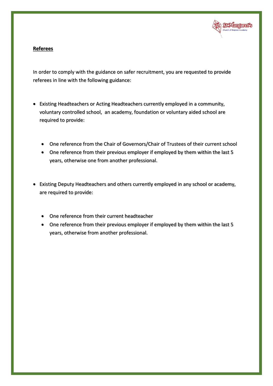

#### **Referees**

In order to comply with the guidance on safer recruitment, you are requested to provide referees in line with the following guidance:

- Existing Headteachers or Acting Headteachers currently employed in a community, voluntary controlled school, an academy, foundation or voluntary aided school are required to provide:
	- One reference from the Chair of Governors/Chair of Trustees of their current school
	- One reference from their previous employer if employed by them within the last 5 years, otherwise one from another professional.
- Existing Deputy Headteachers and others currently employed in any school or academy, are required to provide:
	- One reference from their current headteacher
	- One reference from their previous employer if employed by them within the last 5 years, otherwise from another professional.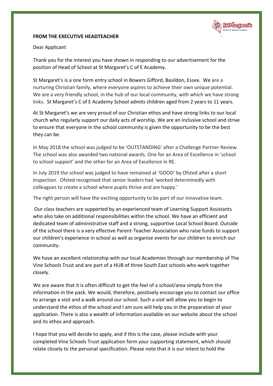

#### **FROM THE EXECUTIVE HEADTEACHER**

#### Dear Applicant

Thank you for the interest you have shown in responding to our advertisement for the position of Head of School at St Margaret's C of E Academy.

St Margaret's is a one form entry school in Bowers Gifford, Basildon, Essex. We are a nurturing Christian family, where everyone aspires to achieve their own unique potential. We are a very friendly school, in the hub of our local community, with which we have strong links. St Margaret's C of E Academy School admits children aged from 2 years to 11 years.

At St Margaret's we are very proud of our Christian ethos and have strong links to our local church who regularly support our daily acts of worship. We are an inclusive school and strive to ensure that everyone in the school community is given the opportunity to be the best they can be.

In May 2018 the school was judged to be 'OUTSTANDING' after a Challenge Partner Review. The school was also awarded two national awards. One for an Area of Excellence in 'school to school support' and the other for an Area of Excellence in RE.

In July 2019 the school was judged to have remained at 'GOOD' by Ofsted after a short inspection. Ofsted recognised that senior leaders had 'worked determinedly with colleagues to create a school where pupils thrive and are happy.'

The right person will have the exciting opportunity to be part of our innovative team.

Our class teachers are supported by an experienced team of Learning Support Assistants who also take on additional responsibilities within the school. We have an efficient and dedicated team of administrative staff and a strong, supportive Local School Board. Outside of the school there is a very effective Parent-Teacher Association who raise funds to support our children's experience in school as well as organise events for our children to enrich our community.

We have an excellent relationship with our local Academies through our membership of The Vine Schools Trust and are part of a HUB of three South East schools who work together closely.

We are aware that it is often difficult to get the feel of a school/area simply from the information in the pack. We would, therefore, positively encourage you to contact our office to arrange a visit and a walk around our school. Such a visit will allow you to begin to understand the ethos of the school and I am sure will help you in the preparation of your application. There is also a wealth of information available on our website about the school and its ethos and approach.

I hope that you will decide to apply, and if this is the case, please include with your completed Vine Schools Trust application form your supporting statement, which should relate closely to the personal specification. Please note that it is our intent to hold the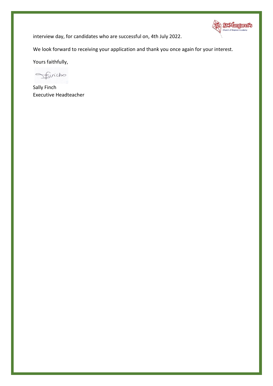

interview day, for candidates who are successful on, 4th July 2022.

We look forward to receiving your application and thank you once again for your interest.

Yours faithfully,

finicho  $\qquad \qquad \subset$ 

Sally Finch Executive Headteacher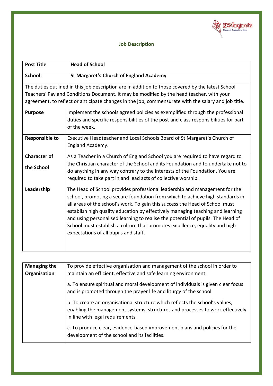

#### **Job Description**

| <b>Post Title</b>                                                                                                                                                                                                                                                                                    | <b>Head of School</b>                                                                                                                                                                                                                                                                                                                                                                                                                                                                                                                    |
|------------------------------------------------------------------------------------------------------------------------------------------------------------------------------------------------------------------------------------------------------------------------------------------------------|------------------------------------------------------------------------------------------------------------------------------------------------------------------------------------------------------------------------------------------------------------------------------------------------------------------------------------------------------------------------------------------------------------------------------------------------------------------------------------------------------------------------------------------|
| School:                                                                                                                                                                                                                                                                                              | <b>St Margaret's Church of England Academy</b>                                                                                                                                                                                                                                                                                                                                                                                                                                                                                           |
| The duties outlined in this job description are in addition to those covered by the latest School<br>Teachers' Pay and Conditions Document. It may be modified by the head teacher, with your<br>agreement, to reflect or anticipate changes in the job, commensurate with the salary and job title. |                                                                                                                                                                                                                                                                                                                                                                                                                                                                                                                                          |
| <b>Purpose</b>                                                                                                                                                                                                                                                                                       | Implement the schools agreed policies as exemplified through the professional<br>duties and specific responsibilities of the post and class responsibilities for part<br>of the week.                                                                                                                                                                                                                                                                                                                                                    |
| <b>Responsible to</b>                                                                                                                                                                                                                                                                                | Executive Headteacher and Local Schools Board of St Margaret's Church of<br>England Academy.                                                                                                                                                                                                                                                                                                                                                                                                                                             |
| <b>Character of</b><br>the School                                                                                                                                                                                                                                                                    | As a Teacher in a Church of England School you are required to have regard to<br>the Christian character of the School and its Foundation and to undertake not to<br>do anything in any way contrary to the interests of the Foundation. You are<br>required to take part in and lead acts of collective worship.                                                                                                                                                                                                                        |
| Leadership                                                                                                                                                                                                                                                                                           | The Head of School provides professional leadership and management for the<br>school, promoting a secure foundation from which to achieve high standards in<br>all areas of the school's work. To gain this success the Head of School must<br>establish high quality education by effectively managing teaching and learning<br>and using personalised learning to realise the potential of pupils. The Head of<br>School must establish a culture that promotes excellence, equality and high<br>expectations of all pupils and staff. |

| <b>Managing the</b><br>Organisation | To provide effective organisation and management of the school in order to<br>maintain an efficient, effective and safe learning environment:                                                     |
|-------------------------------------|---------------------------------------------------------------------------------------------------------------------------------------------------------------------------------------------------|
|                                     | a. To ensure spiritual and moral development of individuals is given clear focus<br>and is promoted through the prayer life and liturgy of the school                                             |
|                                     | b. To create an organisational structure which reflects the school's values,<br>enabling the management systems, structures and processes to work effectively<br>in line with legal requirements. |
|                                     | c. To produce clear, evidence-based improvement plans and policies for the<br>development of the school and its facilities.                                                                       |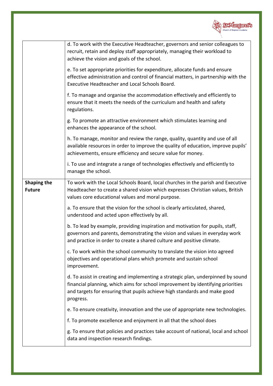

| d. To work with the Executive Headteacher, governors and senior colleagues to<br>recruit, retain and deploy staff appropriately, managing their workload to<br>achieve the vision and goals of the school.                                                    |
|---------------------------------------------------------------------------------------------------------------------------------------------------------------------------------------------------------------------------------------------------------------|
| e. To set appropriate priorities for expenditure, allocate funds and ensure<br>effective administration and control of financial matters, in partnership with the<br>Executive Headteacher and Local Schools Board.                                           |
| f. To manage and organise the accommodation effectively and efficiently to<br>ensure that it meets the needs of the curriculum and health and safety<br>regulations.                                                                                          |
| g. To promote an attractive environment which stimulates learning and<br>enhances the appearance of the school.                                                                                                                                               |
| h. To manage, monitor and review the range, quality, quantity and use of all<br>available resources in order to improve the quality of education, improve pupils'<br>achievements, ensure efficiency and secure value for money.                              |
| i. To use and integrate a range of technologies effectively and efficiently to<br>manage the school.                                                                                                                                                          |
| To work with the Local Schools Board, local churches in the parish and Executive<br>Headteacher to create a shared vision which expresses Christian values, British<br>values core educational values and moral purpose.                                      |
| a. To ensure that the vision for the school is clearly articulated, shared,<br>understood and acted upon effectively by all.                                                                                                                                  |
| b. To lead by example, providing inspiration and motivation for pupils, staff,<br>governors and parents, demonstrating the vision and values in everyday work<br>and practice in order to create a shared culture and positive climate.                       |
| c. To work within the school community to translate the vision into agreed<br>objectives and operational plans which promote and sustain school<br>improvement.                                                                                               |
| d. To assist in creating and implementing a strategic plan, underpinned by sound<br>financial planning, which aims for school improvement by identifying priorities<br>and targets for ensuring that pupils achieve high standards and make good<br>progress. |
| e. To ensure creativity, innovation and the use of appropriate new technologies.                                                                                                                                                                              |
| f. To promote excellence and enjoyment in all that the school does                                                                                                                                                                                            |
| g. To ensure that policies and practices take account of national, local and school<br>data and inspection research findings.                                                                                                                                 |
|                                                                                                                                                                                                                                                               |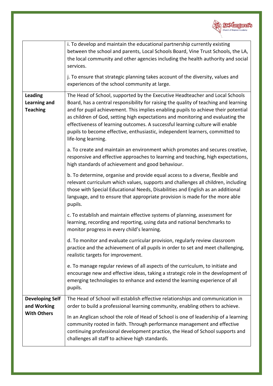

|                                                          | i. To develop and maintain the educational partnership currently existing<br>between the school and parents, Local Schools Board, Vine Trust Schools, the LA,<br>the local community and other agencies including the health authority and social<br>services.<br>j. To ensure that strategic planning takes account of the diversity, values and<br>experiences of the school community at large.                                                                                                             |
|----------------------------------------------------------|----------------------------------------------------------------------------------------------------------------------------------------------------------------------------------------------------------------------------------------------------------------------------------------------------------------------------------------------------------------------------------------------------------------------------------------------------------------------------------------------------------------|
|                                                          |                                                                                                                                                                                                                                                                                                                                                                                                                                                                                                                |
| <b>Leading</b><br><b>Learning and</b><br><b>Teaching</b> | The Head of School, supported by the Executive Headteacher and Local Schools<br>Board, has a central responsibility for raising the quality of teaching and learning<br>and for pupil achievement. This implies enabling pupils to achieve their potential<br>as children of God, setting high expectations and monitoring and evaluating the<br>effectiveness of learning outcomes. A successful learning culture will enable<br>pupils to become effective, enthusiastic, independent learners, committed to |
|                                                          | life-long learning.                                                                                                                                                                                                                                                                                                                                                                                                                                                                                            |
|                                                          | a. To create and maintain an environment which promotes and secures creative,<br>responsive and effective approaches to learning and teaching, high expectations,<br>high standards of achievement and good behaviour.                                                                                                                                                                                                                                                                                         |
|                                                          | b. To determine, organise and provide equal access to a diverse, flexible and<br>relevant curriculum which values, supports and challenges all children, including<br>those with Special Educational Needs, Disabilities and English as an additional<br>language, and to ensure that appropriate provision is made for the more able<br>pupils.                                                                                                                                                               |
|                                                          | c. To establish and maintain effective systems of planning, assessment for<br>learning, recording and reporting, using data and national benchmarks to<br>monitor progress in every child's learning.                                                                                                                                                                                                                                                                                                          |
|                                                          | d. To monitor and evaluate curricular provision, regularly review classroom<br>practice and the achievement of all pupils in order to set and meet challenging,<br>realistic targets for improvement.                                                                                                                                                                                                                                                                                                          |
|                                                          | e. To manage regular reviews of all aspects of the curriculum, to initiate and<br>encourage new and effective ideas, taking a strategic role in the development of<br>emerging technologies to enhance and extend the learning experience of all<br>pupils.                                                                                                                                                                                                                                                    |
| <b>Developing Self</b>                                   | The Head of School will establish effective relationships and communication in                                                                                                                                                                                                                                                                                                                                                                                                                                 |
| and Working                                              | order to build a professional learning community, enabling others to achieve.                                                                                                                                                                                                                                                                                                                                                                                                                                  |
| <b>With Others</b>                                       | In an Anglican school the role of Head of School is one of leadership of a learning<br>community rooted in faith. Through performance management and effective<br>continuing professional development practice, the Head of School supports and<br>challenges all staff to achieve high standards.                                                                                                                                                                                                             |
|                                                          |                                                                                                                                                                                                                                                                                                                                                                                                                                                                                                                |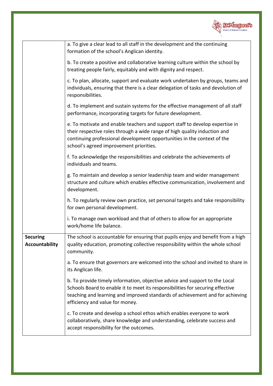

|                                          | a. To give a clear lead to all staff in the development and the continuing<br>formation of the school's Anglican identity.                                                                                                                                                        |
|------------------------------------------|-----------------------------------------------------------------------------------------------------------------------------------------------------------------------------------------------------------------------------------------------------------------------------------|
|                                          | b. To create a positive and collaborative learning culture within the school by<br>treating people fairly, equitably and with dignity and respect.                                                                                                                                |
|                                          | c. To plan, allocate, support and evaluate work undertaken by groups, teams and<br>individuals, ensuring that there is a clear delegation of tasks and devolution of<br>responsibilities.                                                                                         |
|                                          | d. To implement and sustain systems for the effective management of all staff<br>performance, incorporating targets for future development.                                                                                                                                       |
|                                          | e. To motivate and enable teachers and support staff to develop expertise in<br>their respective roles through a wide range of high quality induction and<br>continuing professional development opportunities in the context of the<br>school's agreed improvement priorities.   |
|                                          | f. To acknowledge the responsibilities and celebrate the achievements of<br>individuals and teams.                                                                                                                                                                                |
|                                          | g. To maintain and develop a senior leadership team and wider management<br>structure and culture which enables effective communication, involvement and<br>development.                                                                                                          |
|                                          | h. To regularly review own practice, set personal targets and take responsibility<br>for own personal development.                                                                                                                                                                |
|                                          | i. To manage own workload and that of others to allow for an appropriate<br>work/home life balance.                                                                                                                                                                               |
| <b>Securing</b><br><b>Accountability</b> | The school is accountable for ensuring that pupils enjoy and benefit from a high<br>quality education, promoting collective responsibility within the whole school<br>community.                                                                                                  |
|                                          | a. To ensure that governors are welcomed into the school and invited to share in<br>its Anglican life.                                                                                                                                                                            |
|                                          | b. To provide timely information, objective advice and support to the Local<br>Schools Board to enable it to meet its responsibilities for securing effective<br>teaching and learning and improved standards of achievement and for achieving<br>efficiency and value for money. |
|                                          | c. To create and develop a school ethos which enables everyone to work<br>collaboratively, share knowledge and understanding, celebrate success and<br>accept responsibility for the outcomes.                                                                                    |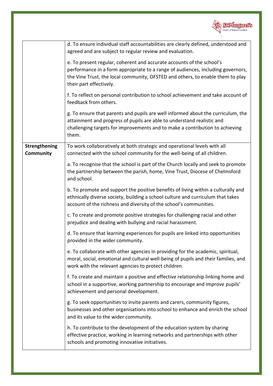

|                                   | d. To ensure individual staff accountabilities are clearly defined, understood and<br>agreed and are subject to regular review and evaluation.<br>e. To present regular, coherent and accurate accounts of the school's                             |
|-----------------------------------|-----------------------------------------------------------------------------------------------------------------------------------------------------------------------------------------------------------------------------------------------------|
|                                   | performance in a form appropriate to a range of audiences, including governors,<br>the Vine Trust, the local community, OFSTED and others, to enable them to play<br>their part effectively.                                                        |
|                                   | f. To reflect on personal contribution to school achievement and take account of<br>feedback from others.                                                                                                                                           |
|                                   | g. To ensure that parents and pupils are well informed about the curriculum, the<br>attainment and progress of pupils are able to understand realistic and<br>challenging targets for improvements and to make a contribution to achieving<br>them. |
| <b>Strengthening</b><br>Community | To work collaboratively at both strategic and operational levels with all<br>connected with the school community for the well-being of all children.                                                                                                |
|                                   | a. To recognise that the school is part of the Church locally and seek to promote<br>the partnership between the parish, home, Vine Trust, Diocese of Chelmsford<br>and school.                                                                     |
|                                   | b. To promote and support the positive benefits of living within a culturally and<br>ethnically diverse society, building a school culture and curriculum that takes<br>account of the richness and diversity of the school's communities.          |
|                                   | c. To create and promote positive strategies for challenging racial and other<br>prejudice and dealing with bullying and racial harassment.                                                                                                         |
|                                   | d. To ensure that learning experiences for pupils are linked into opportunities<br>provided in the wider community.                                                                                                                                 |
|                                   | e. To collaborate with other agencies in providing for the academic, spiritual,<br>moral, social, emotional and cultural well-being of pupils and their families, and<br>work with the relevant agencies to protect children.                       |
|                                   | f. To create and maintain a positive and effective relationship linking home and<br>school in a supportive, working partnership to encourage and improve pupils'<br>achievement and personal development.                                           |
|                                   | g. To seek opportunities to invite parents and carers, community figures,<br>businesses and other organisations into school to enhance and enrich the school<br>and its value to the wider community.                                               |
|                                   | h. To contribute to the development of the education system by sharing<br>effective practice, working in learning networks and partnerships with other<br>schools and promoting innovative initiatives.                                             |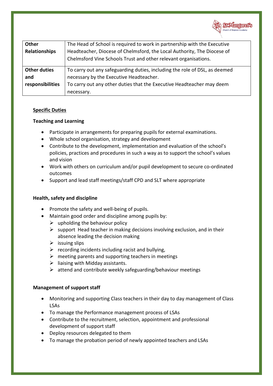

| Other                      | The Head of School is required to work in partnership with the Executive                                                                   |
|----------------------------|--------------------------------------------------------------------------------------------------------------------------------------------|
| <b>Relationships</b>       | Headteacher, Diocese of Chelmsford, the Local Authority, The Diocese of<br>Chelmsford Vine Schools Trust and other relevant organisations. |
| <b>Other duties</b><br>and | To carry out any safeguarding duties, including the role of DSL, as deemed<br>necessary by the Executive Headteacher.                      |
| responsibilities           | To carry out any other duties that the Executive Headteacher may deem                                                                      |
|                            | necessary.                                                                                                                                 |

#### **Specific Duties**

#### **Teaching and Learning**

- Participate in arrangements for preparing pupils for external examinations.
- Whole school organisation, strategy and development
- Contribute to the development, implementation and evaluation of the school's policies, practices and procedures in such a way as to support the school's values and vision
- Work with others on curriculum and/or pupil development to secure co-ordinated outcomes
- Support and lead staff meetings/staff CPD and SLT where appropriate

#### **Health, safety and discipline**

- Promote the safety and well-being of pupils.
- Maintain good order and discipline among pupils by:
	- $\triangleright$  upholding the behaviour policy
	- $\triangleright$  support Head teacher in making decisions involving exclusion, and in their absence leading the decision making
	- $\triangleright$  issuing slips
	- $\triangleright$  recording incidents including racist and bullying,
	- $\triangleright$  meeting parents and supporting teachers in meetings
	- $\triangleright$  liaising with Midday assistants.
	- $\triangleright$  attend and contribute weekly safeguarding/behaviour meetings

#### **Management of support staff**

- Monitoring and supporting Class teachers in their day to day management of Class LSAs
- To manage the Performance management process of LSAs
- Contribute to the recruitment, selection, appointment and professional development of support staff
- Deploy resources delegated to them
- To manage the probation period of newly appointed teachers and LSAs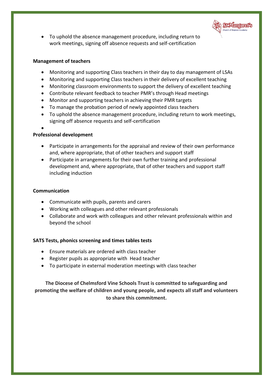

• To uphold the absence management procedure, including return to work meetings, signing off absence requests and self-certification

#### **Management of teachers**

- Monitoring and supporting Class teachers in their day to day management of LSAs
- Monitoring and supporting Class teachers in their delivery of excellent teaching
- Monitoring classroom environments to support the delivery of excellent teaching
- Contribute relevant feedback to teacher PMR's through Head meetings
- Monitor and supporting teachers in achieving their PMR targets
- To manage the probation period of newly appointed class teachers
- To uphold the absence management procedure, including return to work meetings, signing off absence requests and self-certification
- •

#### **Professional development**

- Participate in arrangements for the appraisal and review of their own performance and, where appropriate, that of other teachers and support staff
- Participate in arrangements for their own further training and professional development and, where appropriate, that of other teachers and support staff including induction

#### **Communication**

- Communicate with pupils, parents and carers
- Working with colleagues and other relevant professionals
- Collaborate and work with colleagues and other relevant professionals within and beyond the school

#### **SATS Tests, phonics screening and times tables tests**

- Ensure materials are ordered with class teacher
- Register pupils as appropriate with Head teacher
- To participate in external moderation meetings with class teacher

**The Diocese of Chelmsford Vine Schools Trust is committed to safeguarding and promoting the welfare of children and young people, and expects all staff and volunteers to share this commitment.**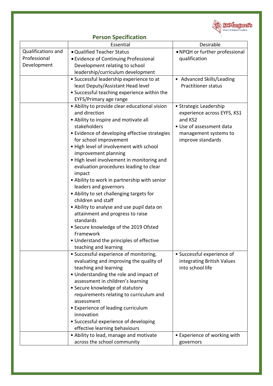

#### **Person Specification**

|                    | Essential                                                                         | Desirable                                                |
|--------------------|-----------------------------------------------------------------------------------|----------------------------------------------------------|
| Qualifications and | • Qualified Teacher Status                                                        | • NPQH or further professional                           |
| Professional       | • Evidence of Continuing Professional                                             | qualification                                            |
| Development        | Development relating to school                                                    |                                                          |
|                    | leadership/curriculum development                                                 |                                                          |
|                    | • Successful leadership experience to at                                          | • Advanced Skills/Leading                                |
|                    | least Deputy/Assistant Head level                                                 | <b>Practitioner status</b>                               |
|                    | • Successful teaching experience within the                                       |                                                          |
|                    | EYFS/Primary age range                                                            |                                                          |
|                    | • Ability to provide clear educational vision                                     | • Strategic Leadership                                   |
|                    | and direction                                                                     | experience across EYFS, KS1                              |
|                    | • Ability to inspire and motivate all                                             | and KS2                                                  |
|                    | stakeholders                                                                      | • Use of assessment data                                 |
|                    | · Evidence of developing effective strategies                                     | management systems to                                    |
|                    | for school improvement                                                            | improve standards                                        |
|                    | . High level of involvement with school                                           |                                                          |
|                    | improvement planning                                                              |                                                          |
|                    | . High level involvement in monitoring and                                        |                                                          |
|                    | evaluation procedures leading to clear                                            |                                                          |
|                    | impact                                                                            |                                                          |
|                    | • Ability to work in partnership with senior                                      |                                                          |
|                    | leaders and governors                                                             |                                                          |
|                    | • Ability to set challenging targets for                                          |                                                          |
|                    | children and staff                                                                |                                                          |
|                    | • Ability to analyse and use pupil data on                                        |                                                          |
|                    | attainment and progress to raise                                                  |                                                          |
|                    | standards                                                                         |                                                          |
|                    | • Secure knowledge of the 2019 Ofsted                                             |                                                          |
|                    | Framework                                                                         |                                                          |
|                    | • Understand the principles of effective                                          |                                                          |
|                    | teaching and learning                                                             |                                                          |
|                    | • Successful experience of monitoring,<br>evaluating and improving the quality of | • Successful experience of<br>integrating British Values |
|                    | teaching and learning                                                             | into school life                                         |
|                    | • Understanding the role and impact of                                            |                                                          |
|                    | assessment in children's learning                                                 |                                                          |
|                    | • Secure knowledge of statutory                                                   |                                                          |
|                    | requirements relating to curriculum and                                           |                                                          |
|                    | assessment                                                                        |                                                          |
|                    | • Experience of leading curriculum                                                |                                                          |
|                    | innovation                                                                        |                                                          |
|                    | • Successful experience of developing                                             |                                                          |
|                    | effective learning behaviours                                                     |                                                          |
|                    | • Ability to lead, manage and motivate                                            | • Experience of working with                             |
|                    | across the school community                                                       | governors                                                |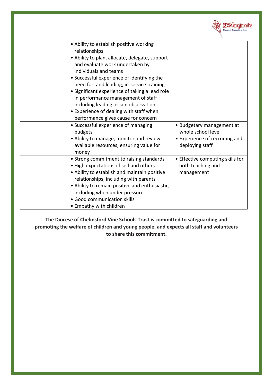

| • Ability to establish positive working<br>relationships |                                  |
|----------------------------------------------------------|----------------------------------|
| • Ability to plan, allocate, delegate, support           |                                  |
| and evaluate work undertaken by<br>individuals and teams |                                  |
| • Successful experience of identifying the               |                                  |
| need for, and leading, in-service training               |                                  |
| • Significant experience of taking a lead role           |                                  |
| in performance management of staff                       |                                  |
| including leading lesson observations                    |                                  |
| • Experience of dealing with staff when                  |                                  |
| performance gives cause for concern                      |                                  |
| • Successful experience of managing                      | • Budgetary management at        |
| budgets                                                  | whole school level               |
| • Ability to manage, monitor and review                  | • Experience of recruiting and   |
| available resources, ensuring value for                  | deploying staff                  |
| money                                                    |                                  |
| • Strong commitment to raising standards                 | • Effective computing skills for |
| • High expectations of self and others                   | both teaching and                |
| • Ability to establish and maintain positive             | management                       |
| relationships, including with parents                    |                                  |
| • Ability to remain positive and enthusiastic,           |                                  |
| including when under pressure                            |                                  |
| • Good communication skills                              |                                  |
| • Empathy with children                                  |                                  |

**The Diocese of Chelmsford Vine Schools Trust is committed to safeguarding and promoting the welfare of children and young people, and expects all staff and volunteers to share this commitment.**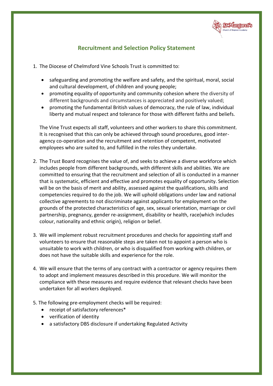

#### **Recruitment and Selection Policy Statement**

- 1. The Diocese of Chelmsford Vine Schools Trust is committed to:
	- safeguarding and promoting the welfare and safety, and the spiritual, moral, social and cultural development, of children and young people;
	- promoting equality of opportunity and community cohesion where the diversity of different backgrounds and circumstances is appreciated and positively valued;
	- promoting the fundamental British values of democracy, the rule of law, individual liberty and mutual respect and tolerance for those with different faiths and beliefs.

The Vine Trust expects all staff, volunteers and other workers to share this commitment. It is recognised that this can only be achieved through sound procedures, good interagency co-operation and the recruitment and retention of competent, motivated employees who are suited to, and fulfilled in the roles they undertake.

- 2. The Trust Board recognises the value of, and seeks to achieve a diverse workforce which includes people from different backgrounds, with different skills and abilities. We are committed to ensuring that the recruitment and selection of all is conducted in a manner that is systematic, efficient and effective and promotes equality of opportunity. Selection will be on the basis of merit and ability, assessed against the qualifications, skills and competencies required to do the job. We will uphold obligations under law and national collective agreements to not discriminate against applicants for employment on the grounds of the protected characteristics of age, sex, sexual orientation, marriage or civil partnership, pregnancy, gender re-assignment, disability or health, race(which includes colour, nationality and ethnic origin), religion or belief.
- 3. We will implement robust recruitment procedures and checks for appointing staff and volunteers to ensure that reasonable steps are taken not to appoint a person who is unsuitable to work with children, or who is disqualified from working with children, or does not have the suitable skills and experience for the role.
- 4. We will ensure that the terms of any contract with a contractor or agency requires them to adopt and implement measures described in this procedure. We will monitor the compliance with these measures and require evidence that relevant checks have been undertaken for all workers deployed.
- 5. The following pre-employment checks will be required:
	- receipt of satisfactory references\*
	- verification of identity
	- a satisfactory DBS disclosure if undertaking Regulated Activity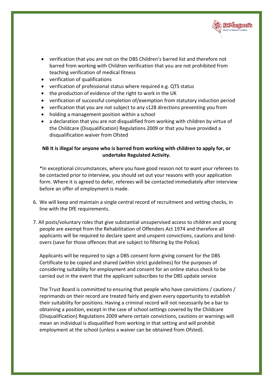

- verification that you are not on the DBS Children's barred list and therefore not barred from working with Children verification that you are not prohibited from teaching verification of medical fitness
- verification of qualifications
- verification of professional status where required e.g. QTS status
- the production of evidence of the right to work in the UK
- verification of successful completion of/exemption from statutory induction period
- verification that you are not subject to any s128 directions preventing you from
- holding a management position within a school
- a declaration that you are not disqualified from working with children by virtue of the Childcare (Disqualification) Regulations 2009 or that you have provided a disqualification waiver from Ofsted

#### **NB It is illegal for anyone who is barred from working with children to apply for, or undertake Regulated Activity.**

\*In exceptional circumstances, where you have good reason not to want your referees to be contacted prior to interview, you should set out your reasons with your application form. Where it is agreed to defer, referees will be contacted immediately after interview before an offer of employment is made.

- 6. We will keep and maintain a single central record of recruitment and vetting checks, in line with the DfE requirements.
- 7. All posts/voluntary roles that give substantial unsupervised access to children and young people are exempt from the Rehabilitation of Offenders Act 1974 and therefore all applicants will be required to declare spent and unspent convictions, cautions and bindovers (save for those offences that are subject to filtering by the Police).

Applicants will be required to sign a DBS consent form giving consent for the DBS Certificate to be copied and shared (within strict guidelines) for the purposes of considering suitability for employment and consent for an online status check to be carried out in the event that the applicant subscribes to the DBS update service

The Trust Board is committed to ensuring that people who have convictions / cautions / reprimands on their record are treated fairly and given every opportunity to establish their suitability for positions. Having a criminal record will not necessarily be a bar to obtaining a position, except in the case of school settings covered by the Childcare (Disqualification) Regulations 2009 where certain convictions, cautions or warnings will mean an individual is disqualified from working in that setting and will prohibit employment at the school (unless a waiver can be obtained from Ofsted).